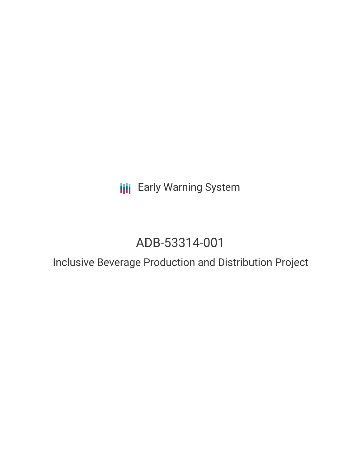**III** Early Warning System

## ADB-53314-001

# Inclusive Beverage Production and Distribution Project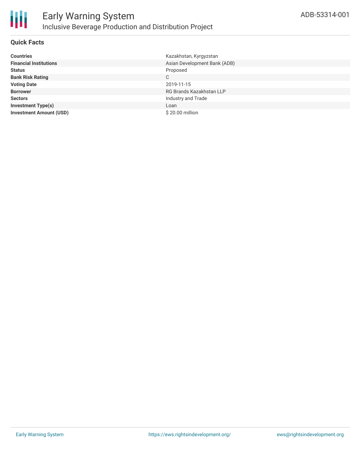

## **Quick Facts**

| <b>Countries</b>               | Kazakhstan, Kyrgyzstan       |
|--------------------------------|------------------------------|
| <b>Financial Institutions</b>  | Asian Development Bank (ADB) |
| <b>Status</b>                  | Proposed                     |
| <b>Bank Risk Rating</b>        | C                            |
| <b>Voting Date</b>             | 2019-11-15                   |
| <b>Borrower</b>                | RG Brands Kazakhstan LLP     |
| <b>Sectors</b>                 | Industry and Trade           |
| <b>Investment Type(s)</b>      | Loan                         |
| <b>Investment Amount (USD)</b> | \$20.00 million              |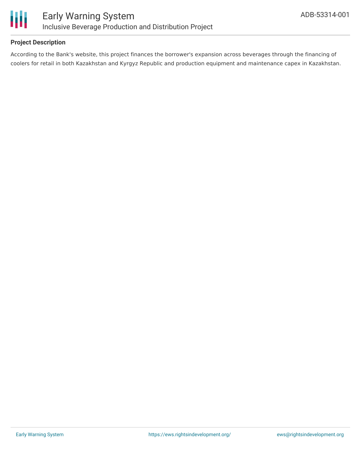

## **Project Description**

According to the Bank's website, this project finances the borrower's expansion across beverages through the financing of coolers for retail in both Kazakhstan and Kyrgyz Republic and production equipment and maintenance capex in Kazakhstan.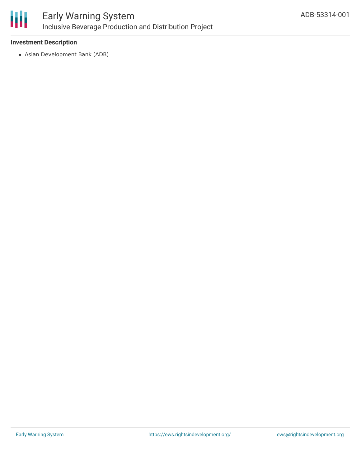

## **Investment Description**

Asian Development Bank (ADB)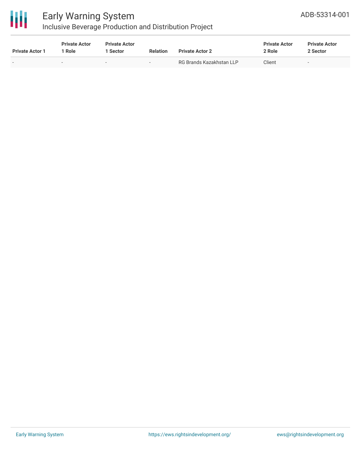

## Early Warning System

## Inclusive Beverage Production and Distribution Project

| <b>Private Actor 1</b> | <b>Private Actor</b><br>' Role | <b>Private Actor</b><br>Sector | <b>Relation</b>          | <b>Private Actor 2</b>   | <b>Private Actor</b><br>2 Role | <b>Private Actor</b><br>2 Sector |  |
|------------------------|--------------------------------|--------------------------------|--------------------------|--------------------------|--------------------------------|----------------------------------|--|
|                        | $\overline{\phantom{a}}$       | -                              | $\overline{\phantom{0}}$ | RG Brands Kazakhstan LLP | Client                         | $\sim$                           |  |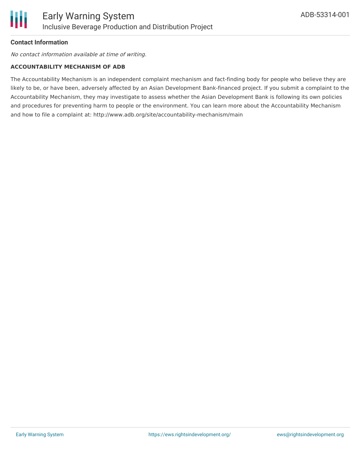

## **Contact Information**

No contact information available at time of writing.

#### **ACCOUNTABILITY MECHANISM OF ADB**

The Accountability Mechanism is an independent complaint mechanism and fact-finding body for people who believe they are likely to be, or have been, adversely affected by an Asian Development Bank-financed project. If you submit a complaint to the Accountability Mechanism, they may investigate to assess whether the Asian Development Bank is following its own policies and procedures for preventing harm to people or the environment. You can learn more about the Accountability Mechanism and how to file a complaint at: http://www.adb.org/site/accountability-mechanism/main